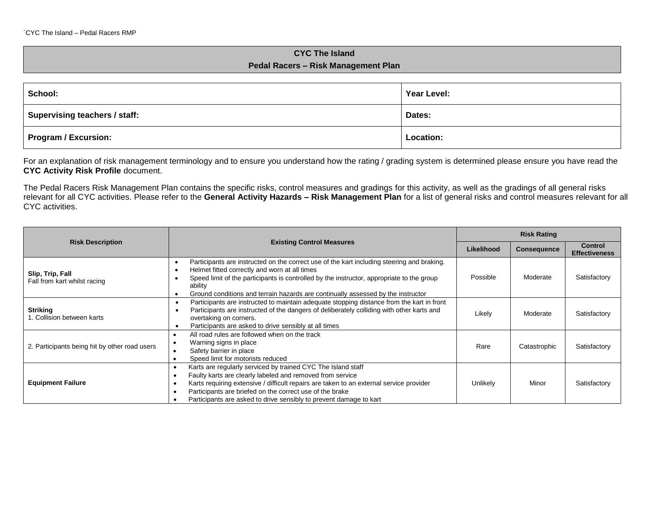## **CYC The Island Pedal Racers – Risk Management Plan**

| School:                       | Year Level:      |
|-------------------------------|------------------|
| Supervising teachers / staff: | Dates:           |
| Program / Excursion:          | <b>Location:</b> |

For an explanation of risk management terminology and to ensure you understand how the rating / grading system is determined please ensure you have read the **CYC Activity Risk Profile** document.

The Pedal Racers Risk Management Plan contains the specific risks, control measures and gradings for this activity, as well as the gradings of all general risks relevant for all CYC activities. Please refer to the **General Activity Hazards – Risk Management Plan** for a list of general risks and control measures relevant for all CYC activities.

|                                                  |                                                                                                                                                                                                                                                                                                                                                        | <b>Risk Rating</b> |                    |                                        |
|--------------------------------------------------|--------------------------------------------------------------------------------------------------------------------------------------------------------------------------------------------------------------------------------------------------------------------------------------------------------------------------------------------------------|--------------------|--------------------|----------------------------------------|
| <b>Risk Description</b>                          | <b>Existing Control Measures</b>                                                                                                                                                                                                                                                                                                                       | Likelihood         | <b>Consequence</b> | <b>Control</b><br><b>Effectiveness</b> |
| Slip, Trip, Fall<br>Fall from kart whilst racing | Participants are instructed on the correct use of the kart including steering and braking.<br>Helmet fitted correctly and worn at all times<br>Speed limit of the participants is controlled by the instructor, appropriate to the group<br>ability<br>Ground conditions and terrain hazards are continually assessed by the instructor                | Possible           | Moderate           | Satisfactory                           |
| <b>Striking</b><br>1. Collision between karts    | Participants are instructed to maintain adequate stopping distance from the kart in front<br>$\bullet$<br>Participants are instructed of the dangers of deliberately colliding with other karts and<br>overtaking on corners.<br>Participants are asked to drive sensibly at all times                                                                 | Likely             | Moderate           | Satisfactory                           |
| 2. Participants being hit by other road users    | All road rules are followed when on the track<br>Warning signs in place<br>Safety barrier in place<br>Speed limit for motorists reduced                                                                                                                                                                                                                | Rare               | Catastrophic       | Satisfactory                           |
| <b>Equipment Failure</b>                         | Karts are regularly serviced by trained CYC The Island staff<br>Faulty karts are clearly labeled and removed from service<br>Karts requiring extensive / difficult repairs are taken to an external service provider<br>Participants are briefed on the correct use of the brake<br>Participants are asked to drive sensibly to prevent damage to kart | Unlikely           | Minor              | Satisfactory                           |